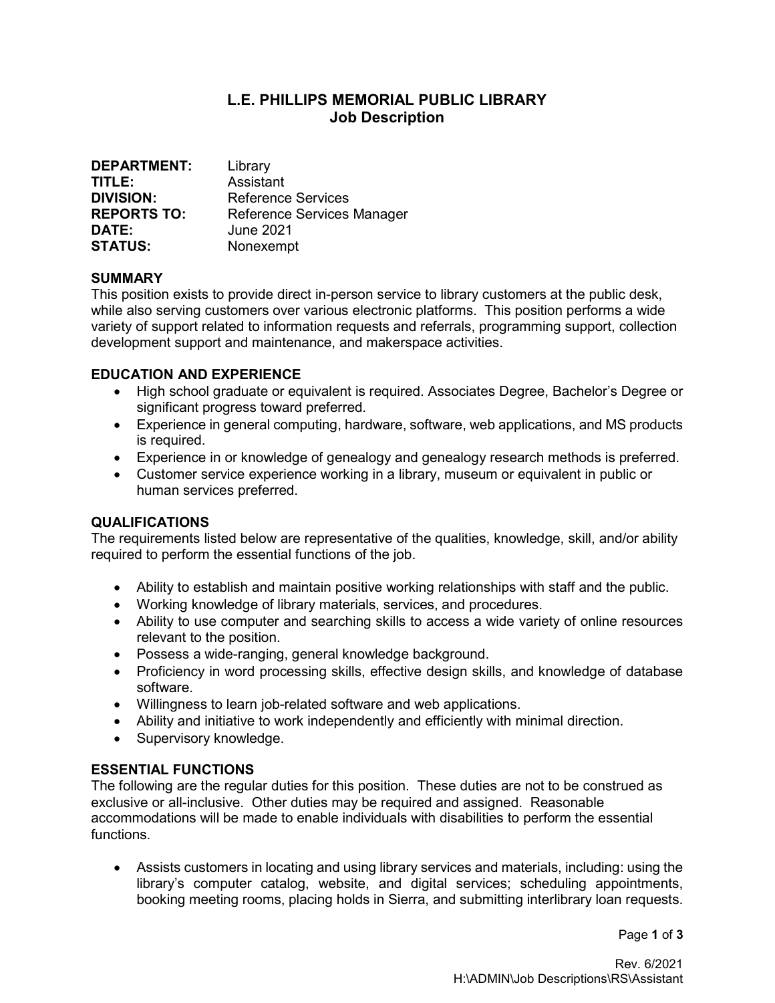# L.E. PHILLIPS MEMORIAL PUBLIC LIBRARY Job Description

| <b>DEPARTMENT:</b> | Library                    |
|--------------------|----------------------------|
| TITLE:             | Assistant                  |
| <b>DIVISION:</b>   | Reference Services         |
| <b>REPORTS TO:</b> | Reference Services Manager |
| DATE:              | <b>June 2021</b>           |
| <b>STATUS:</b>     | Nonexempt                  |

### SUMMARY

This position exists to provide direct in-person service to library customers at the public desk, while also serving customers over various electronic platforms. This position performs a wide variety of support related to information requests and referrals, programming support, collection development support and maintenance, and makerspace activities.

#### EDUCATION AND EXPERIENCE

- High school graduate or equivalent is required. Associates Degree, Bachelor's Degree or significant progress toward preferred.
- Experience in general computing, hardware, software, web applications, and MS products is required.
- Experience in or knowledge of genealogy and genealogy research methods is preferred.
- Customer service experience working in a library, museum or equivalent in public or human services preferred.

### **QUALIFICATIONS**

The requirements listed below are representative of the qualities, knowledge, skill, and/or ability required to perform the essential functions of the job.

- Ability to establish and maintain positive working relationships with staff and the public.
- Working knowledge of library materials, services, and procedures.
- Ability to use computer and searching skills to access a wide variety of online resources relevant to the position.
- Possess a wide-ranging, general knowledge background.
- Proficiency in word processing skills, effective design skills, and knowledge of database software.
- Willingness to learn job-related software and web applications.
- Ability and initiative to work independently and efficiently with minimal direction.
- Supervisory knowledge.

#### ESSENTIAL FUNCTIONS

The following are the regular duties for this position. These duties are not to be construed as exclusive or all-inclusive. Other duties may be required and assigned. Reasonable accommodations will be made to enable individuals with disabilities to perform the essential functions.

 Assists customers in locating and using library services and materials, including: using the library's computer catalog, website, and digital services; scheduling appointments, booking meeting rooms, placing holds in Sierra, and submitting interlibrary loan requests.

Page 1 of 3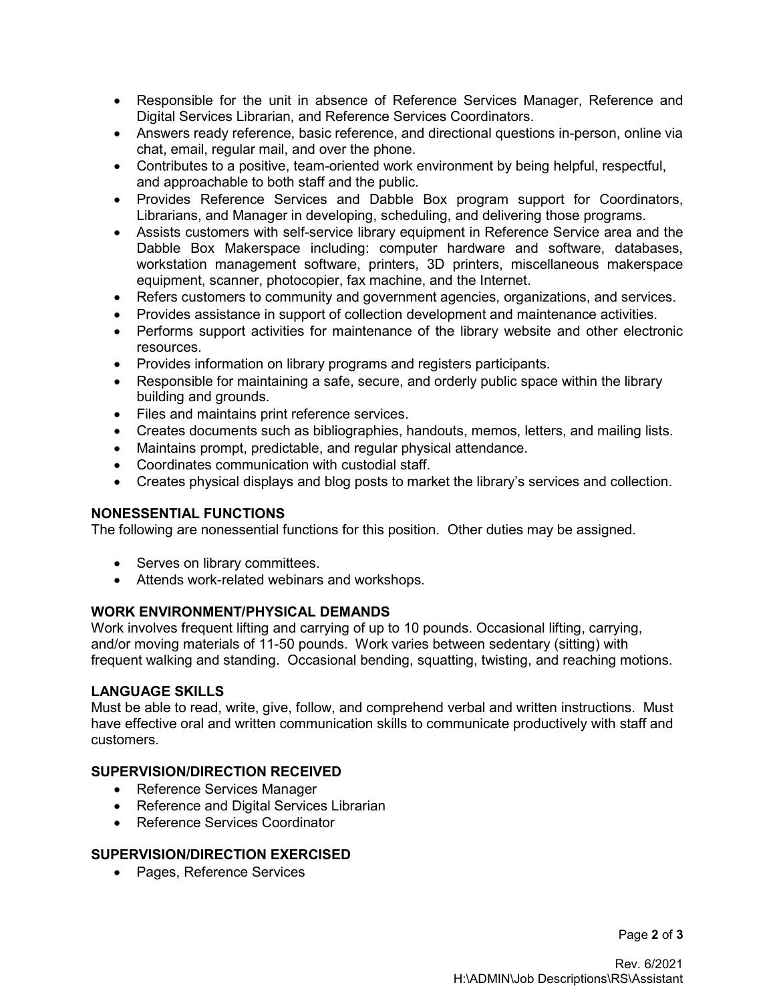- Responsible for the unit in absence of Reference Services Manager, Reference and Digital Services Librarian, and Reference Services Coordinators.
- Answers ready reference, basic reference, and directional questions in-person, online via chat, email, regular mail, and over the phone.
- Contributes to a positive, team-oriented work environment by being helpful, respectful, and approachable to both staff and the public.
- Provides Reference Services and Dabble Box program support for Coordinators, Librarians, and Manager in developing, scheduling, and delivering those programs.
- Assists customers with self-service library equipment in Reference Service area and the Dabble Box Makerspace including: computer hardware and software, databases, workstation management software, printers, 3D printers, miscellaneous makerspace equipment, scanner, photocopier, fax machine, and the Internet.
- Refers customers to community and government agencies, organizations, and services.
- Provides assistance in support of collection development and maintenance activities.
- Performs support activities for maintenance of the library website and other electronic resources.
- Provides information on library programs and registers participants.
- Responsible for maintaining a safe, secure, and orderly public space within the library building and grounds.
- Files and maintains print reference services.
- Creates documents such as bibliographies, handouts, memos, letters, and mailing lists.
- Maintains prompt, predictable, and regular physical attendance.
- Coordinates communication with custodial staff.
- Creates physical displays and blog posts to market the library's services and collection.

#### NONESSENTIAL FUNCTIONS

The following are nonessential functions for this position. Other duties may be assigned.

- Serves on library committees.
- Attends work-related webinars and workshops.

#### WORK ENVIRONMENT/PHYSICAL DEMANDS

Work involves frequent lifting and carrying of up to 10 pounds. Occasional lifting, carrying, and/or moving materials of 11-50 pounds. Work varies between sedentary (sitting) with frequent walking and standing. Occasional bending, squatting, twisting, and reaching motions.

#### LANGUAGE SKILLS

Must be able to read, write, give, follow, and comprehend verbal and written instructions. Must have effective oral and written communication skills to communicate productively with staff and customers.

### SUPERVISION/DIRECTION RECEIVED

- Reference Services Manager
- Reference and Digital Services Librarian
- Reference Services Coordinator

#### SUPERVISION/DIRECTION EXERCISED

• Pages, Reference Services

Page 2 of 3